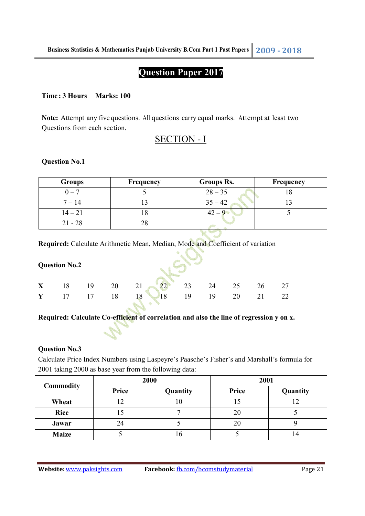# **Question Paper 2017**

### **Time : 3 Hours Marks: 100**

**Note:** Attempt any five questions. All questions carry equal marks. Attempt at least two Questions from each section.

## SECTION - I

### **Question No.1**

| <b>Groups</b> | Frequency | <b>Groups Rs.</b> | Frequency |
|---------------|-----------|-------------------|-----------|
| $0 - 7$       |           | $28 - 35$         |           |
| $7 - 14$      |           | $35 - 42$         |           |
| $14 - 21$     |           | $42 - 9$          |           |
| $21 - 28$     |           |                   |           |

**Required:** Calculate Arithmetic Mean, Median, Mode and Coefficient of variation

|   | <b>Question No.2</b> |    |    |          |    |    |    |    |    |  |  |
|---|----------------------|----|----|----------|----|----|----|----|----|--|--|
| X | 18                   | 19 | 20 | 21 22 23 |    | 24 | 25 | 26 | 27 |  |  |
| Y | 17                   | 17 | 18 | 18<br>18 | 19 | 19 | 20 |    | 22 |  |  |

### Required: Calculate Co-efficient of correlation and also the line of regression y on x.

### **Question No.3**

Calculate Price Index Numbers using Laspeyre's Paasche's Fisher's and Marshall's formula for 2001 taking 2000 as base year from the following data:

| <b>Commodity</b> | 2000  |          | 2001  |          |  |
|------------------|-------|----------|-------|----------|--|
|                  | Price | Quantity | Price | Quantity |  |
| Wheat            |       | 10       |       |          |  |
| <b>Rice</b>      |       |          | 20    |          |  |
| Jawar            | 24    |          | 20    |          |  |
| <b>Maize</b>     |       |          |       |          |  |